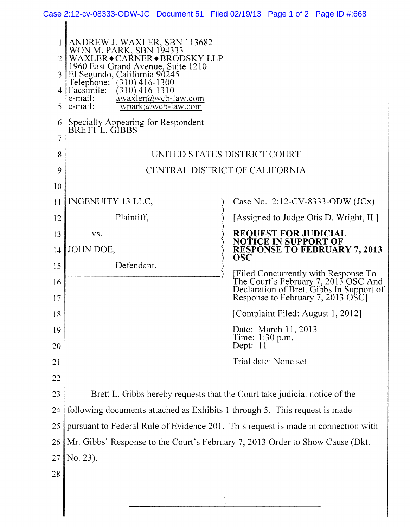|          | ANDREW J. WAXLER, SBN 113682<br>WON M. PARK, SBN 194333<br>WAXLER • CARNER • BRODSKY LLP<br>1960 East Grand Avenue, Suite 1210<br>El Segundo, California 90245<br>Telephone: (310) 416-1300<br>Facsimile:<br>$(310)$ 416-1310 |                                                                                                                       |
|----------|-------------------------------------------------------------------------------------------------------------------------------------------------------------------------------------------------------------------------------|-----------------------------------------------------------------------------------------------------------------------|
|          |                                                                                                                                                                                                                               |                                                                                                                       |
| 3        |                                                                                                                                                                                                                               |                                                                                                                       |
| 5        | awaxler@wcb-law.com<br>e-mail:<br>e-mail:<br>$wpark(\tilde{a})wcb$ -law.com                                                                                                                                                   |                                                                                                                       |
| 6        | Specially Appearing for Respondent<br>BRETT L. GIBBS                                                                                                                                                                          |                                                                                                                       |
| 7        |                                                                                                                                                                                                                               |                                                                                                                       |
| 8        | UNITED STATES DISTRICT COURT                                                                                                                                                                                                  |                                                                                                                       |
| 9        | CENTRAL DISTRICT OF CALIFORNIA                                                                                                                                                                                                |                                                                                                                       |
| 10       |                                                                                                                                                                                                                               |                                                                                                                       |
| 11       | <b>INGENUITY 13 LLC,</b>                                                                                                                                                                                                      | Case No. 2:12-CV-8333-ODW $(JCx)$                                                                                     |
| 12       | Plaintiff,                                                                                                                                                                                                                    | [Assigned to Judge Otis D. Wright, II]                                                                                |
| 13       | VS.                                                                                                                                                                                                                           | <b>REQUEST FOR JUDICIAL</b><br><b>NOTICE IN SUPPORT OF</b>                                                            |
| 14       | JOHN DOE,                                                                                                                                                                                                                     | <b>RESPONSE TO FEBRUARY 7, 2013</b><br><b>OSC</b>                                                                     |
| 15       | Defendant.                                                                                                                                                                                                                    | [Filed Concurrently with Response To                                                                                  |
| 16<br>17 |                                                                                                                                                                                                                               | The Court's February 7, 2013 OSC And<br>Declaration of Brett Gibbs In Support of<br>Response to February 7, 2013 OSC1 |
| 18       |                                                                                                                                                                                                                               | [Complaint Filed: August 1, 2012]                                                                                     |
| 19<br>20 |                                                                                                                                                                                                                               | Date: March 11, 2013<br>Time: 1:30 p.m.<br>Dept: 11                                                                   |
| 21       |                                                                                                                                                                                                                               | Trial date: None set                                                                                                  |
| 22       |                                                                                                                                                                                                                               |                                                                                                                       |
| 23       | Brett L. Gibbs hereby requests that the Court take judicial notice of the                                                                                                                                                     |                                                                                                                       |
| 24       | following documents attached as Exhibits 1 through 5. This request is made                                                                                                                                                    |                                                                                                                       |
| 25       | pursuant to Federal Rule of Evidence 201. This request is made in connection with                                                                                                                                             |                                                                                                                       |
| 26       | Mr. Gibbs' Response to the Court's February 7, 2013 Order to Show Cause (Dkt.                                                                                                                                                 |                                                                                                                       |
| 27       | No. 23).                                                                                                                                                                                                                      |                                                                                                                       |
| 28       |                                                                                                                                                                                                                               |                                                                                                                       |
|          |                                                                                                                                                                                                                               |                                                                                                                       |
|          | 1                                                                                                                                                                                                                             |                                                                                                                       |